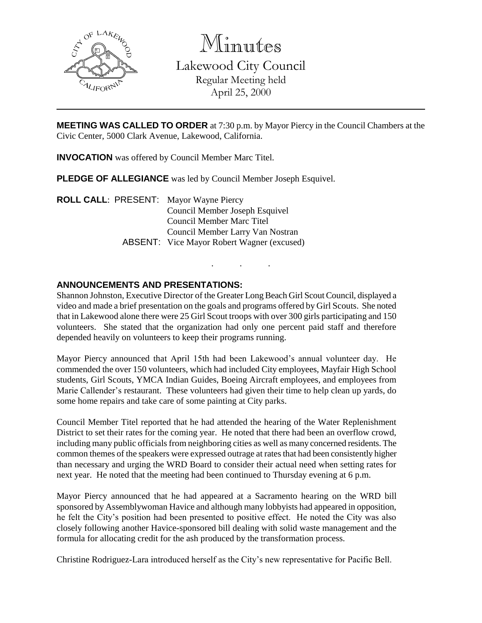

Minutes

Lakewood City Council Regular Meeting held April 25, 2000

**MEETING WAS CALLED TO ORDER** at 7:30 p.m. by Mayor Piercy in the Council Chambers at the Civic Center, 5000 Clark Avenue, Lakewood, California.

**INVOCATION** was offered by Council Member Marc Titel.

**PLEDGE OF ALLEGIANCE** was led by Council Member Joseph Esquivel.

**ROLL CALL**: PRESENT: Mayor Wayne Piercy Council Member Joseph Esquivel Council Member Marc Titel Council Member Larry Van Nostran ABSENT: Vice Mayor Robert Wagner (excused)

# **ANNOUNCEMENTS AND PRESENTATIONS:**

Shannon Johnston, Executive Director of the Greater Long Beach Girl Scout Council, displayed a video and made a brief presentation on the goals and programs offered by Girl Scouts. She noted that in Lakewood alone there were 25 Girl Scout troops with over 300 girls participating and 150 volunteers. She stated that the organization had only one percent paid staff and therefore depended heavily on volunteers to keep their programs running.

. . .

Mayor Piercy announced that April 15th had been Lakewood's annual volunteer day. He commended the over 150 volunteers, which had included City employees, Mayfair High School students, Girl Scouts, YMCA Indian Guides, Boeing Aircraft employees, and employees from Marie Callender's restaurant. These volunteers had given their time to help clean up yards, do some home repairs and take care of some painting at City parks.

Council Member Titel reported that he had attended the hearing of the Water Replenishment District to set their rates for the coming year. He noted that there had been an overflow crowd, including many public officials from neighboring cities as well as many concerned residents. The common themes of the speakers were expressed outrage at rates that had been consistently higher than necessary and urging the WRD Board to consider their actual need when setting rates for next year. He noted that the meeting had been continued to Thursday evening at 6 p.m.

Mayor Piercy announced that he had appeared at a Sacramento hearing on the WRD bill sponsored by Assemblywoman Havice and although many lobbyists had appeared in opposition, he felt the City's position had been presented to positive effect. He noted the City was also closely following another Havice-sponsored bill dealing with solid waste management and the formula for allocating credit for the ash produced by the transformation process.

Christine Rodriguez-Lara introduced herself as the City's new representative for Pacific Bell.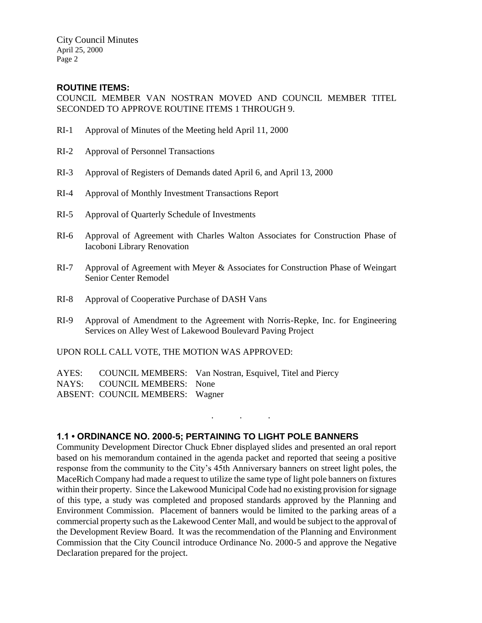City Council Minutes April 25, 2000 Page 2

### **ROUTINE ITEMS:**

COUNCIL MEMBER VAN NOSTRAN MOVED AND COUNCIL MEMBER TITEL SECONDED TO APPROVE ROUTINE ITEMS 1 THROUGH 9.

- RI-1 Approval of Minutes of the Meeting held April 11, 2000
- RI-2 Approval of Personnel Transactions
- RI-3 Approval of Registers of Demands dated April 6, and April 13, 2000
- RI-4 Approval of Monthly Investment Transactions Report
- RI-5 Approval of Quarterly Schedule of Investments
- RI-6 Approval of Agreement with Charles Walton Associates for Construction Phase of Iacoboni Library Renovation
- RI-7 Approval of Agreement with Meyer & Associates for Construction Phase of Weingart Senior Center Remodel
- RI-8 Approval of Cooperative Purchase of DASH Vans
- RI-9 Approval of Amendment to the Agreement with Norris-Repke, Inc. for Engineering Services on Alley West of Lakewood Boulevard Paving Project

UPON ROLL CALL VOTE, THE MOTION WAS APPROVED:

AYES: COUNCIL MEMBERS: Van Nostran, Esquivel, Titel and Piercy NAYS: COUNCIL MEMBERS: None ABSENT: COUNCIL MEMBERS: Wagner

### **1.1 • ORDINANCE NO. 2000-5; PERTAINING TO LIGHT POLE BANNERS**

Community Development Director Chuck Ebner displayed slides and presented an oral report based on his memorandum contained in the agenda packet and reported that seeing a positive response from the community to the City's 45th Anniversary banners on street light poles, the MaceRich Company had made a request to utilize the same type of light pole banners on fixtures within their property. Since the Lakewood Municipal Code had no existing provision for signage of this type, a study was completed and proposed standards approved by the Planning and Environment Commission. Placement of banners would be limited to the parking areas of a commercial property such as the Lakewood Center Mall, and would be subject to the approval of the Development Review Board. It was the recommendation of the Planning and Environment Commission that the City Council introduce Ordinance No. 2000-5 and approve the Negative Declaration prepared for the project.

. . .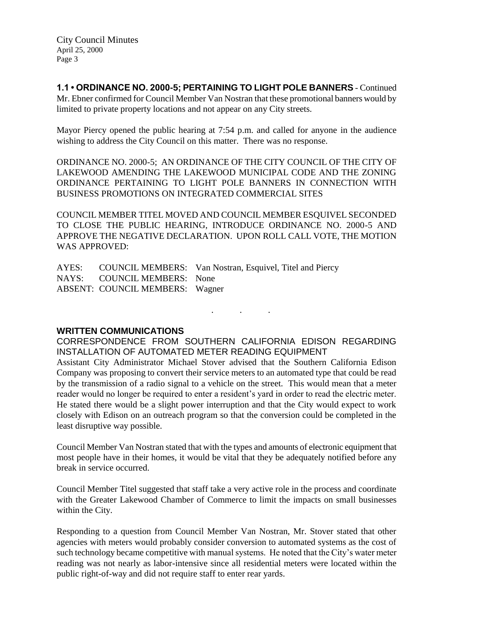City Council Minutes April 25, 2000 Page 3

**1.1 • ORDINANCE NO. 2000-5; PERTAINING TO LIGHT POLE BANNERS** - Continued Mr. Ebner confirmed for Council Member Van Nostran that these promotional banners would by limited to private property locations and not appear on any City streets.

Mayor Piercy opened the public hearing at 7:54 p.m. and called for anyone in the audience wishing to address the City Council on this matter. There was no response.

ORDINANCE NO. 2000-5; AN ORDINANCE OF THE CITY COUNCIL OF THE CITY OF LAKEWOOD AMENDING THE LAKEWOOD MUNICIPAL CODE AND THE ZONING ORDINANCE PERTAINING TO LIGHT POLE BANNERS IN CONNECTION WITH BUSINESS PROMOTIONS ON INTEGRATED COMMERCIAL SITES

COUNCIL MEMBER TITEL MOVED AND COUNCIL MEMBER ESQUIVEL SECONDED TO CLOSE THE PUBLIC HEARING, INTRODUCE ORDINANCE NO. 2000-5 AND APPROVE THE NEGATIVE DECLARATION. UPON ROLL CALL VOTE, THE MOTION WAS APPROVED:

AYES: COUNCIL MEMBERS: Van Nostran, Esquivel, Titel and Piercy NAYS: COUNCIL MEMBERS: None ABSENT: COUNCIL MEMBERS: Wagner

**WRITTEN COMMUNICATIONS**

CORRESPONDENCE FROM SOUTHERN CALIFORNIA EDISON REGARDING INSTALLATION OF AUTOMATED METER READING EQUIPMENT

. . .

Assistant City Administrator Michael Stover advised that the Southern California Edison Company was proposing to convert their service meters to an automated type that could be read by the transmission of a radio signal to a vehicle on the street. This would mean that a meter reader would no longer be required to enter a resident's yard in order to read the electric meter. He stated there would be a slight power interruption and that the City would expect to work closely with Edison on an outreach program so that the conversion could be completed in the least disruptive way possible.

Council Member Van Nostran stated that with the types and amounts of electronic equipment that most people have in their homes, it would be vital that they be adequately notified before any break in service occurred.

Council Member Titel suggested that staff take a very active role in the process and coordinate with the Greater Lakewood Chamber of Commerce to limit the impacts on small businesses within the City.

Responding to a question from Council Member Van Nostran, Mr. Stover stated that other agencies with meters would probably consider conversion to automated systems as the cost of such technology became competitive with manual systems. He noted that the City's water meter reading was not nearly as labor-intensive since all residential meters were located within the public right-of-way and did not require staff to enter rear yards.